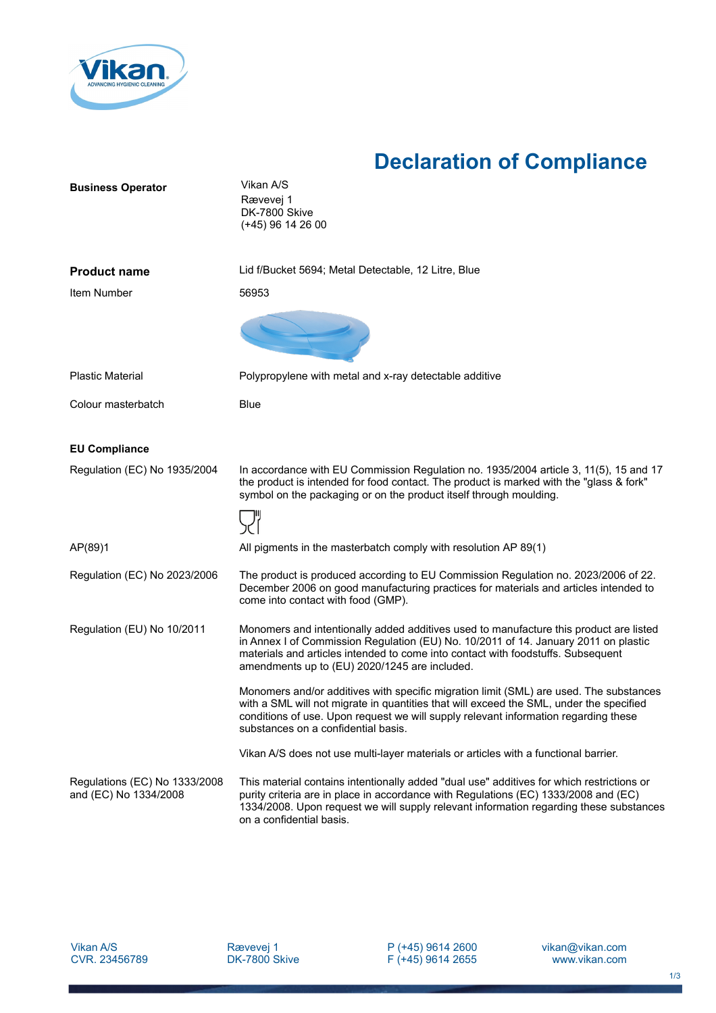

## **Declaration of Compliance**

| <b>Business Operator</b>                               | Vikan A/S<br>Rævevej 1<br>DK-7800 Skive<br>(+45) 96 14 26 00                                                                                                                                                                                                                                                       |
|--------------------------------------------------------|--------------------------------------------------------------------------------------------------------------------------------------------------------------------------------------------------------------------------------------------------------------------------------------------------------------------|
| <b>Product name</b>                                    | Lid f/Bucket 5694; Metal Detectable, 12 Litre, Blue                                                                                                                                                                                                                                                                |
| Item Number                                            | 56953                                                                                                                                                                                                                                                                                                              |
|                                                        |                                                                                                                                                                                                                                                                                                                    |
| <b>Plastic Material</b>                                | Polypropylene with metal and x-ray detectable additive                                                                                                                                                                                                                                                             |
| Colour masterbatch                                     | <b>Blue</b>                                                                                                                                                                                                                                                                                                        |
| <b>EU Compliance</b>                                   |                                                                                                                                                                                                                                                                                                                    |
| Regulation (EC) No 1935/2004                           | In accordance with EU Commission Regulation no. 1935/2004 article 3, 11(5), 15 and 17<br>the product is intended for food contact. The product is marked with the "glass & fork"<br>symbol on the packaging or on the product itself through moulding.                                                             |
|                                                        |                                                                                                                                                                                                                                                                                                                    |
| AP(89)1                                                | All pigments in the masterbatch comply with resolution AP 89(1)                                                                                                                                                                                                                                                    |
| Regulation (EC) No 2023/2006                           | The product is produced according to EU Commission Regulation no. 2023/2006 of 22.<br>December 2006 on good manufacturing practices for materials and articles intended to<br>come into contact with food (GMP).                                                                                                   |
| Regulation (EU) No 10/2011                             | Monomers and intentionally added additives used to manufacture this product are listed<br>in Annex I of Commission Regulation (EU) No. 10/2011 of 14. January 2011 on plastic<br>materials and articles intended to come into contact with foodstuffs. Subsequent<br>amendments up to (EU) 2020/1245 are included. |
|                                                        | Monomers and/or additives with specific migration limit (SML) are used. The substances<br>with a SML will not migrate in quantities that will exceed the SML, under the specified<br>conditions of use. Upon request we will supply relevant information regarding these<br>substances on a confidential basis.    |
|                                                        | Vikan A/S does not use multi-layer materials or articles with a functional barrier.                                                                                                                                                                                                                                |
| Regulations (EC) No 1333/2008<br>and (EC) No 1334/2008 | This material contains intentionally added "dual use" additives for which restrictions or<br>purity criteria are in place in accordance with Regulations (EC) 1333/2008 and (EC)<br>1334/2008. Upon request we will supply relevant information regarding these substances<br>on a confidential basis.             |

Vikan A/S CVR. 23456789 P (+45) 9614 2600 F (+45) 9614 2655 vikan@vikan.com www.vikan.com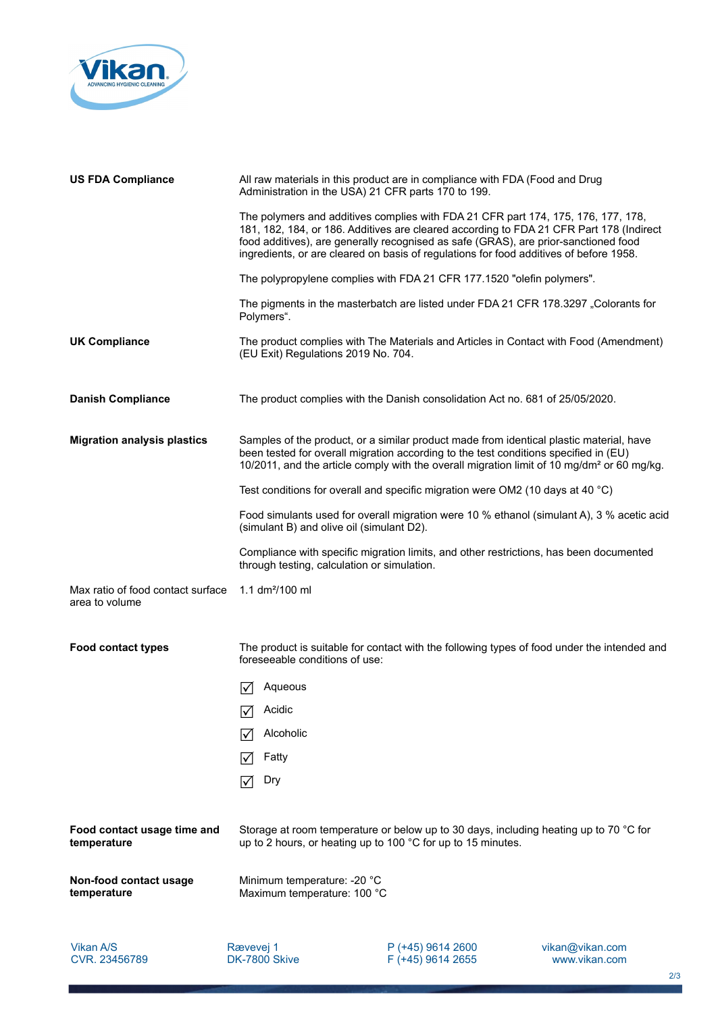

| <b>US FDA Compliance</b>                            | All raw materials in this product are in compliance with FDA (Food and Drug<br>Administration in the USA) 21 CFR parts 170 to 199.                                                                                                                                                                                                                            |
|-----------------------------------------------------|---------------------------------------------------------------------------------------------------------------------------------------------------------------------------------------------------------------------------------------------------------------------------------------------------------------------------------------------------------------|
|                                                     | The polymers and additives complies with FDA 21 CFR part 174, 175, 176, 177, 178,<br>181, 182, 184, or 186. Additives are cleared according to FDA 21 CFR Part 178 (Indirect<br>food additives), are generally recognised as safe (GRAS), are prior-sanctioned food<br>ingredients, or are cleared on basis of regulations for food additives of before 1958. |
|                                                     | The polypropylene complies with FDA 21 CFR 177.1520 "olefin polymers".                                                                                                                                                                                                                                                                                        |
|                                                     | The pigments in the masterbatch are listed under FDA 21 CFR 178.3297 "Colorants for<br>Polymers".                                                                                                                                                                                                                                                             |
| <b>UK Compliance</b>                                | The product complies with The Materials and Articles in Contact with Food (Amendment)<br>(EU Exit) Regulations 2019 No. 704.                                                                                                                                                                                                                                  |
| <b>Danish Compliance</b>                            | The product complies with the Danish consolidation Act no. 681 of 25/05/2020.                                                                                                                                                                                                                                                                                 |
| <b>Migration analysis plastics</b>                  | Samples of the product, or a similar product made from identical plastic material, have<br>been tested for overall migration according to the test conditions specified in (EU)<br>10/2011, and the article comply with the overall migration limit of 10 mg/dm <sup>2</sup> or 60 mg/kg.                                                                     |
|                                                     | Test conditions for overall and specific migration were OM2 (10 days at 40 °C)                                                                                                                                                                                                                                                                                |
|                                                     | Food simulants used for overall migration were 10 % ethanol (simulant A), 3 % acetic acid<br>(simulant B) and olive oil (simulant D2).                                                                                                                                                                                                                        |
|                                                     | Compliance with specific migration limits, and other restrictions, has been documented<br>through testing, calculation or simulation.                                                                                                                                                                                                                         |
| Max ratio of food contact surface<br>area to volume | 1.1 $dm^2/100$ ml                                                                                                                                                                                                                                                                                                                                             |
| <b>Food contact types</b>                           | The product is suitable for contact with the following types of food under the intended and<br>foreseeable conditions of use:                                                                                                                                                                                                                                 |
|                                                     | Aqueous<br>l۷l                                                                                                                                                                                                                                                                                                                                                |
|                                                     | $\boxed{\sqrt}$ Acidic                                                                                                                                                                                                                                                                                                                                        |
|                                                     | Alcoholic<br>I√                                                                                                                                                                                                                                                                                                                                               |
|                                                     | Fatty<br>$\mathsf{I}\mathcal{M}$                                                                                                                                                                                                                                                                                                                              |
|                                                     | Dry<br>$\mathcal{V}$                                                                                                                                                                                                                                                                                                                                          |
| Food contact usage time and<br>temperature          | Storage at room temperature or below up to 30 days, including heating up to 70 °C for<br>up to 2 hours, or heating up to 100 °C for up to 15 minutes.                                                                                                                                                                                                         |
| Non-food contact usage<br>temperature               | Minimum temperature: -20 °C<br>Maximum temperature: 100 °C                                                                                                                                                                                                                                                                                                    |
|                                                     |                                                                                                                                                                                                                                                                                                                                                               |

Vikan A/S CVR. 23456789

Rævevej 1 DK-7800 Skive P (+45) 9614 2600 F (+45) 9614 2655 vikan@vikan.com www.vikan.com